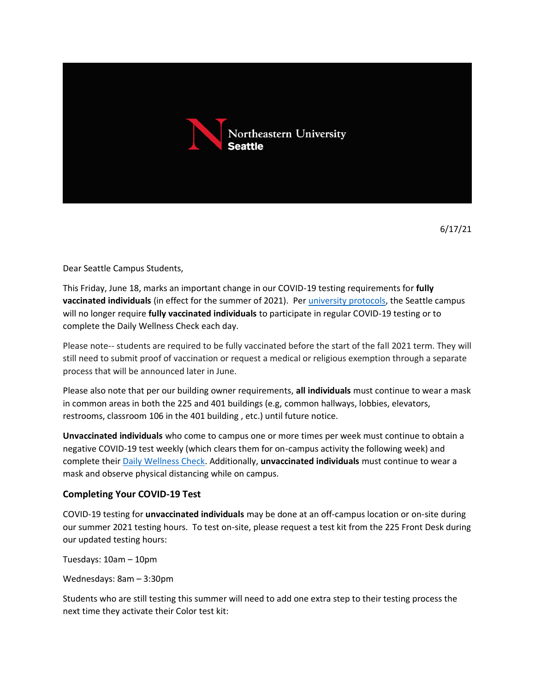

6/17/21

Dear Seattle Campus Students,

This Friday, June 18, marks an important change in our COVID-19 testing requirements for **fully vaccinated individuals** (in effect for the summer of 2021). Per [university protocols,](https://nam12.safelinks.protection.outlook.com/?url=https%3A%2F%2Fnews.northeastern.edu%2Fcoronavirus%2Funiversity-messages%2Fstudents-summer-2021-testing-requirements%2F&data=04%7C01%7Co.ruggieri%40northeastern.edu%7C93c2eab362f3429c3cc308d931b6a3fb%7Ca8eec281aaa34daeac9b9a398b9215e7%7C0%7C0%7C637595483122414239%7CUnknown%7CTWFpbGZsb3d8eyJWIjoiMC4wLjAwMDAiLCJQIjoiV2luMzIiLCJBTiI6Ik1haWwiLCJXVCI6Mn0%3D%7C1000&sdata=EM4iIpHJWyTCcydL78OlivDxI5QXPp7jD9mqBAeiWDA%3D&reserved=0) the Seattle campus will no longer require **fully vaccinated individuals** to participate in regular COVID-19 testing or to complete the Daily Wellness Check each day.

Please note-- students are required to be fully vaccinated before the start of the fall 2021 term. They will still need to submit proof of vaccination or request a medical or religious exemption through a separate process that will be announced later in June.

Please also note that per our building owner requirements, **all individuals** must continue to wear a mask in common areas in both the 225 and 401 buildings (e.g, common hallways, lobbies, elevators, restrooms, classroom 106 in the 401 building , etc.) until future notice.

**Unvaccinated individuals** who come to campus one or more times per week must continue to obtain a negative COVID-19 test weekly (which clears them for on-campus activity the following week) and complete thei[r Daily Wellness Check.](https://nam12.safelinks.protection.outlook.com/?url=https%3A%2F%2Fwellness-check.northeastern.edu%2F&data=02%7C01%7Ck.deane%40northeastern.edu%7Ca7efed0217d34c796cc108d83fdcaa0d%7Ca8eec281aaa34daeac9b9a398b9215e7%7C0%7C0%7C637329564262191137&sdata=wk%2FAJk84k7H8dYTdXB0zHJI5q%2FPMhH8i%2Fb9iRiNiqdU%3D&reserved=0) Additionally, **unvaccinated individuals** must continue to wear a mask and observe physical distancing while on campus.

## **Completing Your COVID-19 Test**

COVID-19 testing for **unvaccinated individuals** may be done at an off-campus location or on-site during our summer 2021 testing hours. To test on-site, please request a test kit from the 225 Front Desk during our updated testing hours:

Tuesdays: 10am – 10pm

Wednesdays: 8am – 3:30pm

Students who are still testing this summer will need to add one extra step to their testing process the next time they activate their Color test kit: